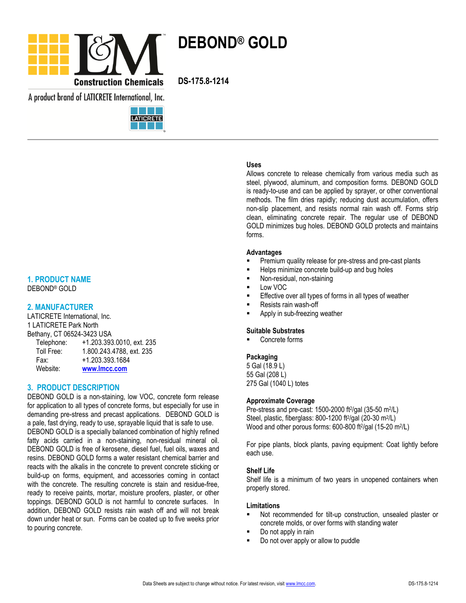

A product brand of LATICRETE International, Inc.



# **1. PRODUCT NAME**

DEBOND® GOLD

# **2. MANUFACTURER**

LATICRETE International, Inc. 1 LATICRETE Park North Bethany, CT 06524-3423 USA Telephone: +1.203.393.0010, ext. 235

| Telephone: | +1.203.393.0010, ext. 23 |
|------------|--------------------------|
| Toll Free: | 1.800.243.4788, ext. 235 |
| Fax:       | +1.203.393.1684          |
| Website:   | www.lmcc.com             |
|            |                          |

# **3. PRODUCT DESCRIPTION**

DEBOND GOLD is a non-staining, low VOC, concrete form release for application to all types of concrete forms, but especially for use in demanding pre-stress and precast applications. DEBOND GOLD is a pale, fast drying, ready to use, sprayable liquid that is safe to use. DEBOND GOLD is a specially balanced combination of highly refined fatty acids carried in a non-staining, non-residual mineral oil. DEBOND GOLD is free of kerosene, diesel fuel, fuel oils, waxes and resins. DEBOND GOLD forms a water resistant chemical barrier and reacts with the alkalis in the concrete to prevent concrete sticking or build-up on forms, equipment, and accessories coming in contact with the concrete. The resulting concrete is stain and residue-free, ready to receive paints, mortar, moisture proofers, plaster, or other toppings. DEBOND GOLD is not harmful to concrete surfaces. In addition, DEBOND GOLD resists rain wash off and will not break down under heat or sun. Forms can be coated up to five weeks prior to pouring concrete.

### **Uses**

Allows concrete to release chemically from various media such as steel, plywood, aluminum, and composition forms. DEBOND GOLD is ready-to-use and can be applied by sprayer, or other conventional methods. The film dries rapidly; reducing dust accumulation, offers non-slip placement, and resists normal rain wash off. Forms strip clean, eliminating concrete repair. The regular use of DEBOND GOLD minimizes bug holes. DEBOND GOLD protects and maintains forms.

#### **Advantages**

- Premium quality release for pre-stress and pre-cast plants
- Helps minimize concrete build-up and bug holes
- Non-residual, non-staining
- Low VOC
- Effective over all types of forms in all types of weather
- Resists rain wash-off
- Apply in sub-freezing weather

#### **Suitable Substrates**

Concrete forms

### **Packaging**

5 Gal (18.9 L) 55 Gal (208 L) 275 Gal (1040 L) totes

#### **Approximate Coverage**

Pre-stress and pre-cast: 1500-2000 ft<sup>2</sup>/gal (35-50 m<sup>2</sup>/L) Steel, plastic, fiberglass: 800-1200 ft<sup>2</sup>/gal (20-30 m<sup>2</sup>/L) Wood and other porous forms: 600-800 ft<sup>2</sup>/gal (15-20 m<sup>2</sup>/L)

For pipe plants, block plants, paving equipment: Coat lightly before each use.

#### **Shelf Life**

Shelf life is a minimum of two years in unopened containers when properly stored.

#### **Limitations**

- Not recommended for tilt-up construction, unsealed plaster or concrete molds, or over forms with standing water
- Do not apply in rain
- Do not over apply or allow to puddle